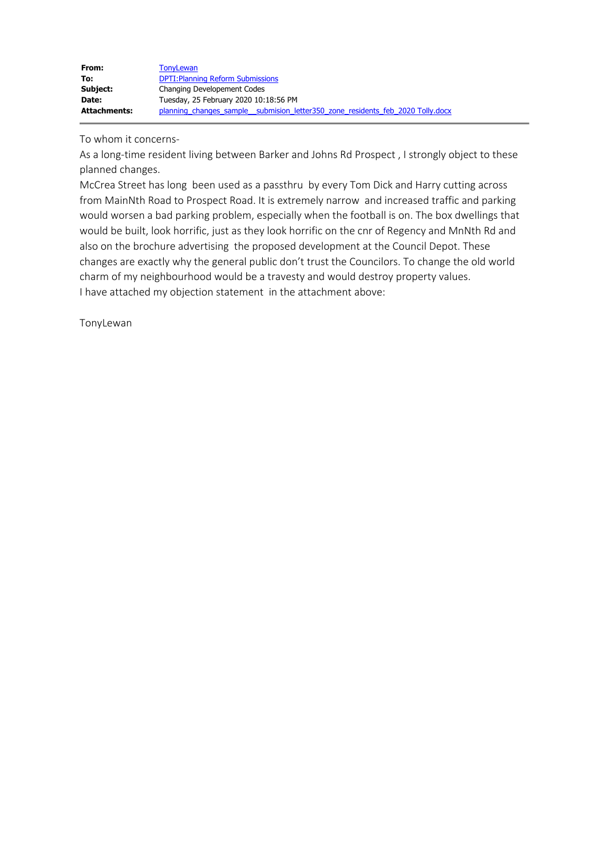| From:               | <b>TonyLewan</b>                                                               |
|---------------------|--------------------------------------------------------------------------------|
| To:                 | <b>DPTI: Planning Reform Submissions</b>                                       |
| Subject:            | Changing Developement Codes                                                    |
| Date:               | Tuesday, 25 February 2020 10:18:56 PM                                          |
| <b>Attachments:</b> | planning changes sample submision letter350 zone residents feb 2020 Tolly.docx |

To whom it concerns-

As a long-time resident living between Barker and Johns Rd Prospect , I strongly object to these planned changes.

McCrea Street has long been used as a passthru by every Tom Dick and Harry cutting across from MainNth Road to Prospect Road. It is extremely narrow and increased traffic and parking would worsen a bad parking problem, especially when the football is on. The box dwellings that would be built, look horrific, just as they look horrific on the cnr of Regency and MnNth Rd and also on the brochure advertising the proposed development at the Council Depot. These changes are exactly why the general public don't trust the Councilors. To change the old world charm of my neighbourhood would be a travesty and would destroy property values. I have attached my objection statement in the attachment above:

TonyLewan